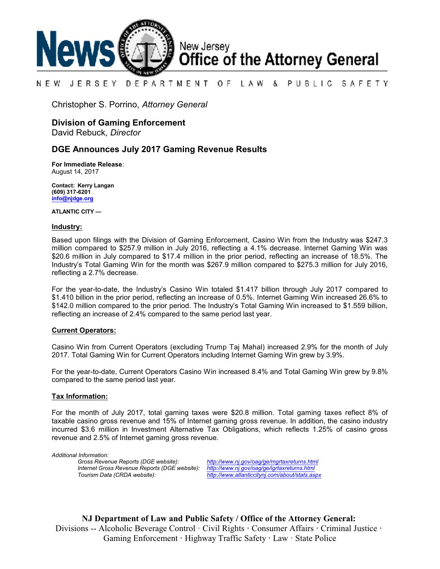

### NEW JERSEY DEPARTMENT OF. LAW & PUBLIC SAFETY

Christopher S. Porrino, *Attorney General*

### **Division of Gaming Enforcement**

David Rebuck, *Director*

### **DGE Announces July 2017 Gaming Revenue Results**

**For Immediate Release**: August 14, 2017

**Contact: Kerry Langan (609) 317-6201 [info@njdge.org](file:///|//info@njdge.org)**

**ATLANTIC CITY —**

### **Industry:**

Based upon filings with the Division of Gaming Enforcement, Casino Win from the Industry was \$247.3 million compared to \$257.9 million in July 2016, reflecting a 4.1% decrease. Internet Gaming Win was \$20.6 million in July compared to \$17.4 million in the prior period, reflecting an increase of 18.5%. The Industry's Total Gaming Win for the month was \$267.9 million compared to \$275.3 million for July 2016, reflecting a 2.7% decrease.

For the year-to-date, the Industry's Casino Win totaled \$1.417 billion through July 2017 compared to \$1.410 billion in the prior period, reflecting an increase of 0.5%. Internet Gaming Win increased 26.6% to \$142.0 million compared to the prior period. The Industry's Total Gaming Win increased to \$1.559 billion, reflecting an increase of 2.4% compared to the same period last year.

### **Current Operators:**

Casino Win from Current Operators (excluding Trump Taj Mahal) increased 2.9% for the month of July 2017. Total Gaming Win for Current Operators including Internet Gaming Win grew by 3.9%.

For the year-to-date, Current Operators Casino Win increased 8.4% and Total Gaming Win grew by 9.8% compared to the same period last year.

### **Tax Information:**

For the month of July 2017, total gaming taxes were \$20.8 million. Total gaming taxes reflect 8% of taxable casino gross revenue and 15% of Internet gaming gross revenue. In addition, the casino industry incurred \$3.6 million in Investment Alternative Tax Obligations, which reflects 1.25% of casino gross revenue and 2.5% of Internet gaming gross revenue.

*Additional Information: Internet Gross Revenue Reports (DGE website): <http://www.nj.gov/oag/ge/igrtaxreturns.html>*

*Gross Revenue Reports (DGE website): <http://www.nj.gov/oag/ge/mgrtaxreturns.html> Tourism Data (CRDA website): <http://www.atlanticcitynj.com/about/stats.aspx>*

**NJ Department of Law and Public Safety / Office of the Attorney General:** Divisions -- Alcoholic Beverage Control · Civil Rights **·** Consumer Affairs **·** Criminal Justice **·**  Gaming Enforcement **·** Highway Traffic Safety **·** Law · State Police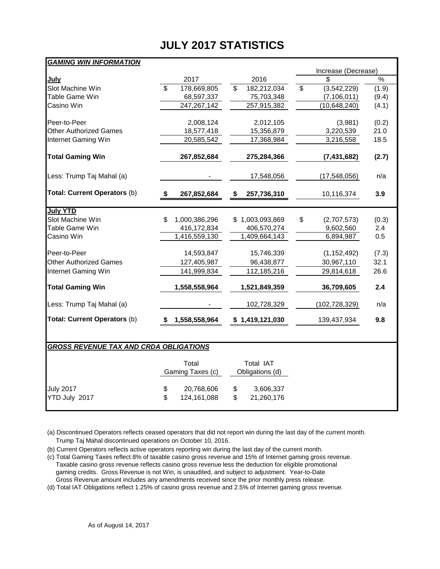## **JULY 2017 STATISTICS**

Increase (Decrease)<br>\$

# *GAMING WIN INFORMATION* <u>July</u> 2017 2017 2016 2016 2016 2019 2019 Slot Machine Win **5 178,669,805** \$ 182,212,034 \$ (3,542,229) (1.9)<br>Table Game Win 68.597.337 75.703.348 (7.106.011) (9.4) Table Game Win <u>\_\_\_\_\_\_68,597,337 75,703,348 (7,106,011)</u> (9.4) Casino Win <u> 247,267,142 257,915,382 (10,648,240)</u> (4.1)

| Peer-to-Peer                  | 2,008,124           | 2,012,105         | (3,981)           | (0.2) |
|-------------------------------|---------------------|-------------------|-------------------|-------|
| <b>Other Authorized Games</b> | 18,577,418          | 15,356,879        | 3,220,539         | 21.0  |
| Internet Gaming Win           | 20,585,542          | 17,368,984        | 3,216,558         | 18.5  |
| <b>Total Gaming Win</b>       | 267,852,684         | 275,284,366       | (7, 431, 682)     | (2.7) |
| Less: Trump Taj Mahal (a)     |                     | 17,548,056        | (17, 548, 056)    | n/a   |
| Total: Current Operators (b)  | 267,852,684         | 257,736,310<br>\$ | 10,116,374        | 3.9   |
| <b>July YTD</b>               |                     |                   |                   |       |
| Slot Machine Win              | \$<br>1,000,386,296 | \$1,003,093,869   | \$<br>(2,707,573) | (0.3) |
| Table Game Win                | 416,172,834         | 406,570,274       | 9,602,560         | 2.4   |
| Casino Win                    | 1,416,559,130       | 1,409,664,143     | 6,894,987         | 0.5   |
| Peer-to-Peer                  | 14,593,847          | 15,746,339        | (1, 152, 492)     | (7.3) |
| <b>Other Authorized Games</b> | 127,405,987         | 96,438,877        | 30,967,110        | 32.1  |
| Internet Gaming Win           | 141,999,834         | 112,185,216       | 29,814,618        | 26.6  |
| <b>Total Gaming Win</b>       | 1,558,558,964       | 1,521,849,359     | 36,709,605        | 2.4   |
| Less: Trump Taj Mahal (a)     |                     | 102,728,329       | (102,728,329)     | n/a   |
| Total: Current Operators (b)  | 1,558,558,964<br>\$ | \$1,419,121,030   | 139,437,934       | 9.8   |

### *GROSS REVENUE TAX AND CRDA OBLIGATIONS*

|                  | Total<br>Gaming Taxes (c) | Total IAT<br>Obligations (d) |            |  |  |  |
|------------------|---------------------------|------------------------------|------------|--|--|--|
| <b>July 2017</b> | \$<br>20,768,606          | \$                           | 3,606,337  |  |  |  |
| YTD July 2017    | \$<br>124,161,088         | \$                           | 21,260,176 |  |  |  |

(a) Discontinued Operators reflects ceased operators that did not report win during the last day of the current month. Trump Taj Mahal discontinued operations on October 10, 2016.

(b) Current Operators reflects active operators reporting win during the last day of the current month.

(c) Total Gaming Taxes reflect 8% of taxable casino gross revenue and 15% of Internet gaming gross revenue. Taxable casino gross revenue reflects casino gross revenue less the deduction for eligible promotional gaming credits. Gross Revenue is not Win, is unaudited, and subject to adjustment. Year-to-Date Gross Revenue amount includes any amendments received since the prior monthly press release.

(d) Total IAT Obligations reflect 1.25% of casino gross revenue and 2.5% of Internet gaming gross revenue.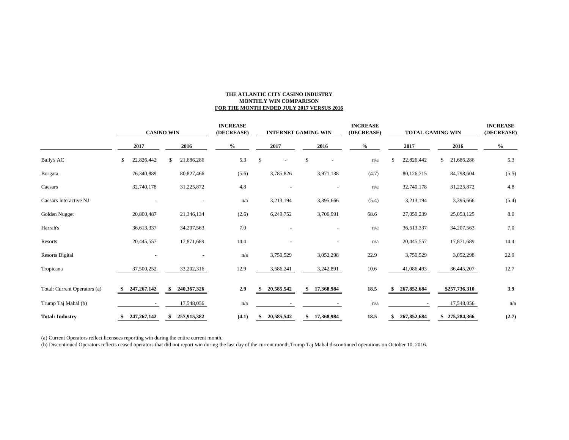### **THE ATLANTIC CITY CASINO INDUSTRY MONTHLY WIN COMPARISON FOR THE MONTH ENDED JULY 2017 VERSUS 2016**

|                              | <b>CASINO WIN</b> |               |    | <b>INCREASE</b><br>(DECREASE) |                                    | <b>INTERNET GAMING WIN</b> |                |                          |    |                          | <b>INCREASE</b><br>(DECREASE) |               | <b>TOTAL GAMING WIN</b> | <b>INCREASE</b><br>(DECREASE) |                   |               |
|------------------------------|-------------------|---------------|----|-------------------------------|------------------------------------|----------------------------|----------------|--------------------------|----|--------------------------|-------------------------------|---------------|-------------------------|-------------------------------|-------------------|---------------|
|                              |                   | 2017          |    | 2016                          | $\mathbf{0}_{\mathbf{0}}^{\prime}$ |                            |                | 2017                     |    | 2016                     |                               | $\frac{0}{0}$ |                         | 2017                          | 2016              | $\frac{6}{6}$ |
| <b>Bally's AC</b>            | \$                | 22,826,442    | \$ | 21,686,286                    |                                    | 5.3                        | $\mathfrak{F}$ | $\overline{\phantom{a}}$ | \$ |                          |                               | n/a           | \$.                     | 22,826,442                    | \$<br>21,686,286  | 5.3           |
| <b>B</b> orgata              |                   | 76,340,889    |    | 80,827,466                    |                                    | (5.6)                      |                | 3,785,826                |    | 3,971,138                |                               | (4.7)         |                         | 80,126,715                    | 84,798,604        | (5.5)         |
| Caesars                      |                   | 32,740,178    |    | 31,225,872                    |                                    | 4.8                        |                |                          |    |                          |                               | n/a           |                         | 32,740,178                    | 31,225,872        | 4.8           |
| Caesars Interactive NJ       |                   |               |    |                               |                                    | n/a                        |                | 3,213,194                |    | 3,395,666                |                               | (5.4)         |                         | 3,213,194                     | 3,395,666         | (5.4)         |
| Golden Nugget                |                   | 20,800,487    |    | 21,346,134                    |                                    | (2.6)                      |                | 6,249,752                |    | 3,706,991                |                               | 68.6          |                         | 27,050,239                    | 25,053,125        | 8.0           |
| Harrah's                     |                   | 36,613,337    |    | 34, 207, 563                  |                                    | 7.0                        |                |                          |    |                          |                               | n/a           |                         | 36,613,337                    | 34, 207, 563      | 7.0           |
| Resorts                      |                   | 20,445,557    |    | 17,871,689                    |                                    | 14.4                       |                |                          |    | $\overline{\phantom{a}}$ |                               | n/a           |                         | 20,445,557                    | 17,871,689        | 14.4          |
| <b>Resorts Digital</b>       |                   |               |    |                               |                                    | n/a                        |                | 3,750,529                |    | 3,052,298                |                               | 22.9          |                         | 3,750,529                     | 3,052,298         | 22.9          |
| Tropicana                    |                   | 37,500,252    |    | 33,202,316                    |                                    | 12.9                       |                | 3,586,241                |    | 3,242,891                |                               | 10.6          |                         | 41,086,493                    | 36,445,207        | 12.7          |
| Total: Current Operators (a) |                   | 247, 267, 142 |    | 240, 367, 326                 |                                    | 2.9                        |                | 20,585,542               |    | \$17,368,984             |                               | 18.5          | \$                      | 267,852,684                   | \$257,736,310     | 3.9           |
| Trump Taj Mahal (b)          |                   | $\sim$        |    | 17,548,056                    |                                    | n/a                        |                |                          |    |                          |                               | n/a           |                         |                               | 17,548,056        | n/a           |
| <b>Total: Industry</b>       |                   | 247, 267, 142 |    | 257,915,382                   |                                    | (4.1)                      |                | 20,585,542               | \$ | 17,368,984               |                               | 18.5          |                         | 267,852,684                   | \$<br>275,284,366 | (2.7)         |

(a) Current Operators reflect licensees reporting win during the entire current month.

(b) Discontinued Operators reflects ceased operators that did not report win during the last day of the current month.Trump Taj Mahal discontinued operations on October 10, 2016.